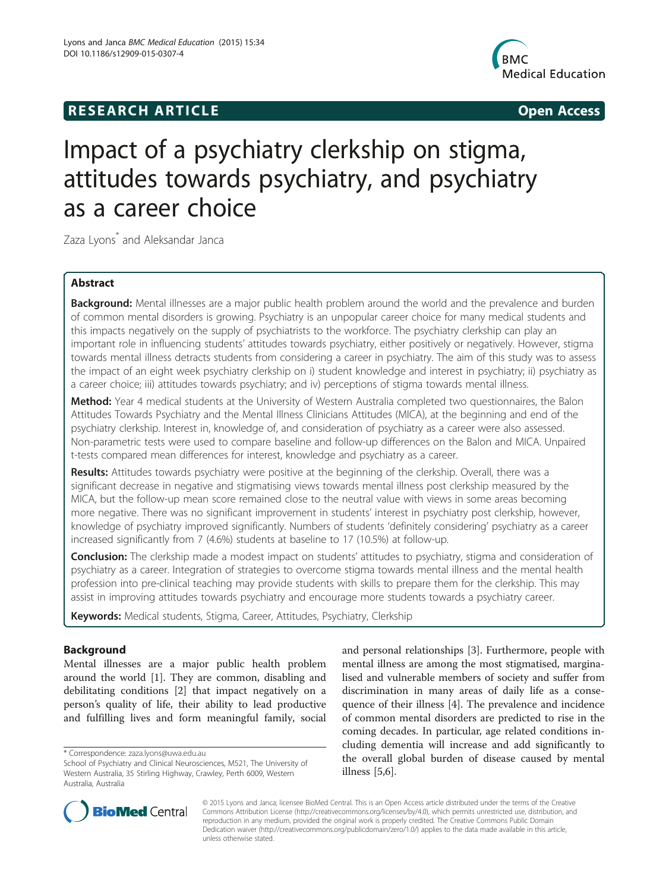## **RESEARCH ARTICLE Example 2014 12:30 The SEAR CHA RESEARCH ARTICLE**



# Impact of a psychiatry clerkship on stigma, attitudes towards psychiatry, and psychiatry as a career choice

Zaza Lyons<sup>\*</sup> and Aleksandar Janca

## Abstract

Background: Mental illnesses are a major public health problem around the world and the prevalence and burden of common mental disorders is growing. Psychiatry is an unpopular career choice for many medical students and this impacts negatively on the supply of psychiatrists to the workforce. The psychiatry clerkship can play an important role in influencing students' attitudes towards psychiatry, either positively or negatively. However, stigma towards mental illness detracts students from considering a career in psychiatry. The aim of this study was to assess the impact of an eight week psychiatry clerkship on i) student knowledge and interest in psychiatry; ii) psychiatry as a career choice; iii) attitudes towards psychiatry; and iv) perceptions of stigma towards mental illness.

Method: Year 4 medical students at the University of Western Australia completed two questionnaires, the Balon Attitudes Towards Psychiatry and the Mental Illness Clinicians Attitudes (MICA), at the beginning and end of the psychiatry clerkship. Interest in, knowledge of, and consideration of psychiatry as a career were also assessed. Non-parametric tests were used to compare baseline and follow-up differences on the Balon and MICA. Unpaired t-tests compared mean differences for interest, knowledge and psychiatry as a career.

Results: Attitudes towards psychiatry were positive at the beginning of the clerkship. Overall, there was a significant decrease in negative and stigmatising views towards mental illness post clerkship measured by the MICA, but the follow-up mean score remained close to the neutral value with views in some areas becoming more negative. There was no significant improvement in students' interest in psychiatry post clerkship, however, knowledge of psychiatry improved significantly. Numbers of students 'definitely considering' psychiatry as a career increased significantly from 7 (4.6%) students at baseline to 17 (10.5%) at follow-up.

Conclusion: The clerkship made a modest impact on students' attitudes to psychiatry, stigma and consideration of psychiatry as a career. Integration of strategies to overcome stigma towards mental illness and the mental health profession into pre-clinical teaching may provide students with skills to prepare them for the clerkship. This may assist in improving attitudes towards psychiatry and encourage more students towards a psychiatry career.

Keywords: Medical students, Stigma, Career, Attitudes, Psychiatry, Clerkship

## Background

Mental illnesses are a major public health problem around the world [\[1](#page-8-0)]. They are common, disabling and debilitating conditions [\[2](#page-8-0)] that impact negatively on a person's quality of life, their ability to lead productive and fulfilling lives and form meaningful family, social

and personal relationships [\[3](#page-8-0)]. Furthermore, people with mental illness are among the most stigmatised, marginalised and vulnerable members of society and suffer from discrimination in many areas of daily life as a consequence of their illness [\[4\]](#page-8-0). The prevalence and incidence of common mental disorders are predicted to rise in the coming decades. In particular, age related conditions including dementia will increase and add significantly to the overall global burden of disease caused by mental illness [[5,6\]](#page-8-0).



© 2015 Lyons and Janca; licensee BioMed Central. This is an Open Access article distributed under the terms of the Creative Commons Attribution License [\(http://creativecommons.org/licenses/by/4.0\)](http://creativecommons.org/licenses/by/4.0), which permits unrestricted use, distribution, and reproduction in any medium, provided the original work is properly credited. The Creative Commons Public Domain Dedication waiver [\(http://creativecommons.org/publicdomain/zero/1.0/](http://creativecommons.org/publicdomain/zero/1.0/)) applies to the data made available in this article, unless otherwise stated.

<sup>\*</sup> Correspondence: [zaza.lyons@uwa.edu.au](mailto:zaza.lyons@uwa.edu.au)

School of Psychiatry and Clinical Neurosciences, M521, The University of Western Australia, 35 Stirling Highway, Crawley, Perth 6009, Western Australia, Australia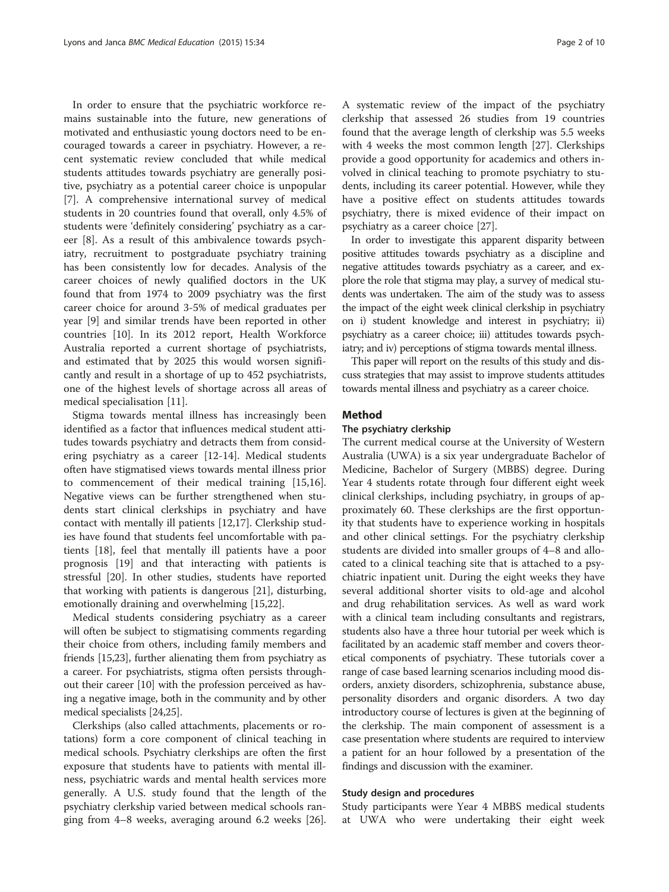In order to ensure that the psychiatric workforce remains sustainable into the future, new generations of motivated and enthusiastic young doctors need to be encouraged towards a career in psychiatry. However, a recent systematic review concluded that while medical students attitudes towards psychiatry are generally positive, psychiatry as a potential career choice is unpopular [[7\]](#page-8-0). A comprehensive international survey of medical students in 20 countries found that overall, only 4.5% of students were 'definitely considering' psychiatry as a career [[8](#page-8-0)]. As a result of this ambivalence towards psychiatry, recruitment to postgraduate psychiatry training has been consistently low for decades. Analysis of the career choices of newly qualified doctors in the UK found that from 1974 to 2009 psychiatry was the first career choice for around 3-5% of medical graduates per year [[9\]](#page-8-0) and similar trends have been reported in other countries [[10](#page-8-0)]. In its 2012 report, Health Workforce Australia reported a current shortage of psychiatrists, and estimated that by 2025 this would worsen significantly and result in a shortage of up to 452 psychiatrists, one of the highest levels of shortage across all areas of medical specialisation [[11\]](#page-8-0).

Stigma towards mental illness has increasingly been identified as a factor that influences medical student attitudes towards psychiatry and detracts them from considering psychiatry as a career [[12-14](#page-8-0)]. Medical students often have stigmatised views towards mental illness prior to commencement of their medical training [\[15,16](#page-8-0)]. Negative views can be further strengthened when students start clinical clerkships in psychiatry and have contact with mentally ill patients [\[12,17](#page-8-0)]. Clerkship studies have found that students feel uncomfortable with patients [[18](#page-8-0)], feel that mentally ill patients have a poor prognosis [[19\]](#page-8-0) and that interacting with patients is stressful [[20\]](#page-8-0). In other studies, students have reported that working with patients is dangerous [\[21\]](#page-8-0), disturbing, emotionally draining and overwhelming [\[15,22\]](#page-8-0).

Medical students considering psychiatry as a career will often be subject to stigmatising comments regarding their choice from others, including family members and friends [\[15,23](#page-8-0)], further alienating them from psychiatry as a career. For psychiatrists, stigma often persists throughout their career [\[10\]](#page-8-0) with the profession perceived as having a negative image, both in the community and by other medical specialists [[24,25](#page-8-0)].

Clerkships (also called attachments, placements or rotations) form a core component of clinical teaching in medical schools. Psychiatry clerkships are often the first exposure that students have to patients with mental illness, psychiatric wards and mental health services more generally. A U.S. study found that the length of the psychiatry clerkship varied between medical schools ranging from 4–8 weeks, averaging around 6.2 weeks [\[26](#page-8-0)].

A systematic review of the impact of the psychiatry clerkship that assessed 26 studies from 19 countries found that the average length of clerkship was 5.5 weeks with 4 weeks the most common length [[27\]](#page-8-0). Clerkships provide a good opportunity for academics and others involved in clinical teaching to promote psychiatry to students, including its career potential. However, while they have a positive effect on students attitudes towards psychiatry, there is mixed evidence of their impact on psychiatry as a career choice [[27\]](#page-8-0).

In order to investigate this apparent disparity between positive attitudes towards psychiatry as a discipline and negative attitudes towards psychiatry as a career, and explore the role that stigma may play, a survey of medical students was undertaken. The aim of the study was to assess the impact of the eight week clinical clerkship in psychiatry on i) student knowledge and interest in psychiatry; ii) psychiatry as a career choice; iii) attitudes towards psychiatry; and iv) perceptions of stigma towards mental illness.

This paper will report on the results of this study and discuss strategies that may assist to improve students attitudes towards mental illness and psychiatry as a career choice.

#### Method

#### The psychiatry clerkship

The current medical course at the University of Western Australia (UWA) is a six year undergraduate Bachelor of Medicine, Bachelor of Surgery (MBBS) degree. During Year 4 students rotate through four different eight week clinical clerkships, including psychiatry, in groups of approximately 60. These clerkships are the first opportunity that students have to experience working in hospitals and other clinical settings. For the psychiatry clerkship students are divided into smaller groups of 4–8 and allocated to a clinical teaching site that is attached to a psychiatric inpatient unit. During the eight weeks they have several additional shorter visits to old-age and alcohol and drug rehabilitation services. As well as ward work with a clinical team including consultants and registrars, students also have a three hour tutorial per week which is facilitated by an academic staff member and covers theoretical components of psychiatry. These tutorials cover a range of case based learning scenarios including mood disorders, anxiety disorders, schizophrenia, substance abuse, personality disorders and organic disorders. A two day introductory course of lectures is given at the beginning of the clerkship. The main component of assessment is a case presentation where students are required to interview a patient for an hour followed by a presentation of the findings and discussion with the examiner.

#### Study design and procedures

Study participants were Year 4 MBBS medical students at UWA who were undertaking their eight week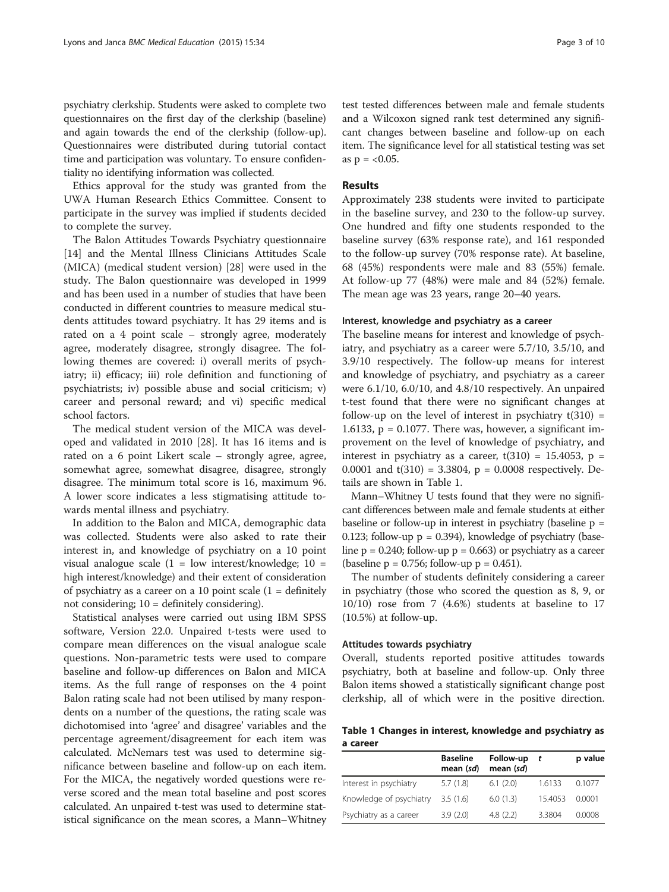psychiatry clerkship. Students were asked to complete two questionnaires on the first day of the clerkship (baseline) and again towards the end of the clerkship (follow-up). Questionnaires were distributed during tutorial contact time and participation was voluntary. To ensure confidentiality no identifying information was collected.

Ethics approval for the study was granted from the UWA Human Research Ethics Committee. Consent to participate in the survey was implied if students decided to complete the survey.

The Balon Attitudes Towards Psychiatry questionnaire [[14\]](#page-8-0) and the Mental Illness Clinicians Attitudes Scale (MICA) (medical student version) [\[28](#page-8-0)] were used in the study. The Balon questionnaire was developed in 1999 and has been used in a number of studies that have been conducted in different countries to measure medical students attitudes toward psychiatry. It has 29 items and is rated on a 4 point scale – strongly agree, moderately agree, moderately disagree, strongly disagree. The following themes are covered: i) overall merits of psychiatry; ii) efficacy; iii) role definition and functioning of psychiatrists; iv) possible abuse and social criticism; v) career and personal reward; and vi) specific medical school factors.

The medical student version of the MICA was developed and validated in 2010 [[28](#page-8-0)]. It has 16 items and is rated on a 6 point Likert scale – strongly agree, agree, somewhat agree, somewhat disagree, disagree, strongly disagree. The minimum total score is 16, maximum 96. A lower score indicates a less stigmatising attitude towards mental illness and psychiatry.

In addition to the Balon and MICA, demographic data was collected. Students were also asked to rate their interest in, and knowledge of psychiatry on a 10 point visual analogue scale  $(1 = low interest/knowledge; 10 =$ high interest/knowledge) and their extent of consideration of psychiatry as a career on a 10 point scale  $(1 =$  definitely not considering; 10 = definitely considering).

Statistical analyses were carried out using IBM SPSS software, Version 22.0. Unpaired t-tests were used to compare mean differences on the visual analogue scale questions. Non-parametric tests were used to compare baseline and follow-up differences on Balon and MICA items. As the full range of responses on the 4 point Balon rating scale had not been utilised by many respondents on a number of the questions, the rating scale was dichotomised into 'agree' and disagree' variables and the percentage agreement/disagreement for each item was calculated. McNemars test was used to determine significance between baseline and follow-up on each item. For the MICA, the negatively worded questions were reverse scored and the mean total baseline and post scores calculated. An unpaired t-test was used to determine statistical significance on the mean scores, a Mann–Whitney

test tested differences between male and female students and a Wilcoxon signed rank test determined any significant changes between baseline and follow-up on each item. The significance level for all statistical testing was set as  $p = <0.05$ .

#### Results

Approximately 238 students were invited to participate in the baseline survey, and 230 to the follow-up survey. One hundred and fifty one students responded to the baseline survey (63% response rate), and 161 responded to the follow-up survey (70% response rate). At baseline, 68 (45%) respondents were male and 83 (55%) female. At follow-up 77 (48%) were male and 84 (52%) female. The mean age was 23 years, range 20–40 years.

#### Interest, knowledge and psychiatry as a career

The baseline means for interest and knowledge of psychiatry, and psychiatry as a career were 5.7/10, 3.5/10, and 3.9/10 respectively. The follow-up means for interest and knowledge of psychiatry, and psychiatry as a career were 6.1/10, 6.0/10, and 4.8/10 respectively. An unpaired t-test found that there were no significant changes at follow-up on the level of interest in psychiatry  $t(310) =$ 1.6133,  $p = 0.1077$ . There was, however, a significant improvement on the level of knowledge of psychiatry, and interest in psychiatry as a career,  $t(310) = 15.4053$ ,  $p =$ 0.0001 and  $t(310) = 3.3804$ ,  $p = 0.0008$  respectively. Details are shown in Table 1.

Mann–Whitney U tests found that they were no significant differences between male and female students at either baseline or follow-up in interest in psychiatry (baseline  $p =$ 0.123; follow-up  $p = 0.394$ ), knowledge of psychiatry (baseline  $p = 0.240$ ; follow-up  $p = 0.663$ ) or psychiatry as a career (baseline  $p = 0.756$ ; follow-up  $p = 0.451$ ).

The number of students definitely considering a career in psychiatry (those who scored the question as 8, 9, or  $10/10$ ) rose from 7  $(4.6%)$  students at baseline to 17 (10.5%) at follow-up.

#### Attitudes towards psychiatry

Overall, students reported positive attitudes towards psychiatry, both at baseline and follow-up. Only three Balon items showed a statistically significant change post clerkship, all of which were in the positive direction.

Table 1 Changes in interest, knowledge and psychiatry as a career

|                         | <b>Baseline</b><br>mean (sd) | Follow-up<br>mean (sd) | t      | p value |
|-------------------------|------------------------------|------------------------|--------|---------|
| Interest in psychiatry  | 5.7(1.8)                     | 6.1(2.0)               | 16133  | 0.1077  |
| Knowledge of psychiatry | 3.5(1.6)                     | 6.0(1.3)               | 154053 | 0.0001  |
| Psychiatry as a career  | 3.9(2.0)                     | 4.8(2.2)               | 33804  | 0.0008  |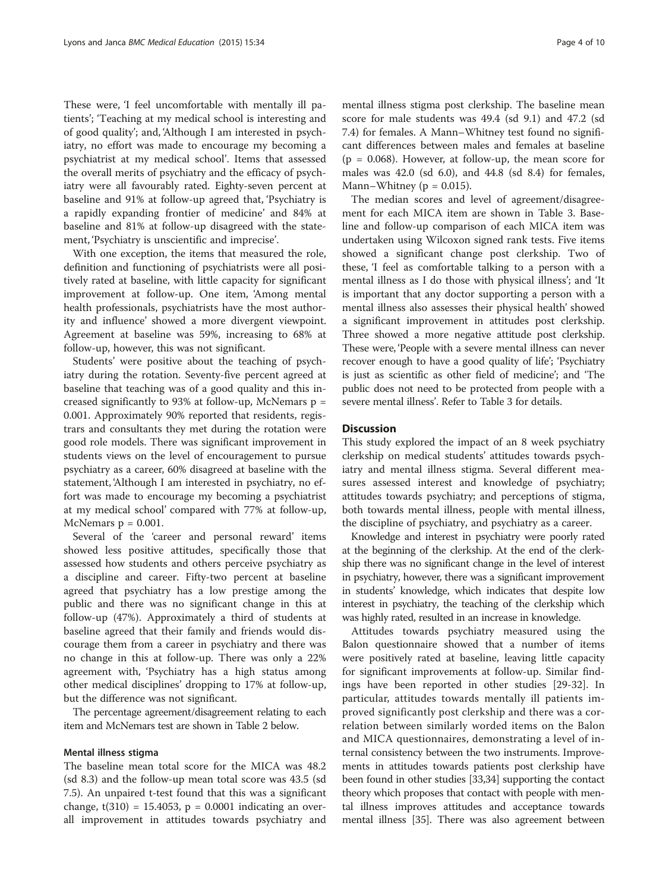These were, 'I feel uncomfortable with mentally ill patients'; 'Teaching at my medical school is interesting and of good quality'; and, 'Although I am interested in psychiatry, no effort was made to encourage my becoming a psychiatrist at my medical school'. Items that assessed the overall merits of psychiatry and the efficacy of psychiatry were all favourably rated. Eighty-seven percent at baseline and 91% at follow-up agreed that, 'Psychiatry is a rapidly expanding frontier of medicine' and 84% at baseline and 81% at follow-up disagreed with the statement, 'Psychiatry is unscientific and imprecise'.

With one exception, the items that measured the role, definition and functioning of psychiatrists were all positively rated at baseline, with little capacity for significant improvement at follow-up. One item, 'Among mental health professionals, psychiatrists have the most authority and influence' showed a more divergent viewpoint. Agreement at baseline was 59%, increasing to 68% at follow-up, however, this was not significant.

Students' were positive about the teaching of psychiatry during the rotation. Seventy-five percent agreed at baseline that teaching was of a good quality and this increased significantly to 93% at follow-up, McNemars  $p =$ 0.001. Approximately 90% reported that residents, registrars and consultants they met during the rotation were good role models. There was significant improvement in students views on the level of encouragement to pursue psychiatry as a career, 60% disagreed at baseline with the statement, 'Although I am interested in psychiatry, no effort was made to encourage my becoming a psychiatrist at my medical school' compared with 77% at follow-up, McNemars  $p = 0.001$ .

Several of the 'career and personal reward' items showed less positive attitudes, specifically those that assessed how students and others perceive psychiatry as a discipline and career. Fifty-two percent at baseline agreed that psychiatry has a low prestige among the public and there was no significant change in this at follow-up (47%). Approximately a third of students at baseline agreed that their family and friends would discourage them from a career in psychiatry and there was no change in this at follow-up. There was only a 22% agreement with, 'Psychiatry has a high status among other medical disciplines' dropping to 17% at follow-up, but the difference was not significant.

The percentage agreement/disagreement relating to each item and McNemars test are shown in Table [2](#page-4-0) below.

#### Mental illness stigma

The baseline mean total score for the MICA was 48.2 (sd 8.3) and the follow-up mean total score was 43.5 (sd 7.5). An unpaired t-test found that this was a significant change,  $t(310) = 15.4053$ ,  $p = 0.0001$  indicating an overall improvement in attitudes towards psychiatry and

mental illness stigma post clerkship. The baseline mean score for male students was 49.4 (sd 9.1) and 47.2 (sd 7.4) for females. A Mann–Whitney test found no significant differences between males and females at baseline  $(p = 0.068)$ . However, at follow-up, the mean score for males was 42.0 (sd 6.0), and 44.8 (sd 8.4) for females, Mann–Whitney ( $p = 0.015$ ).

The median scores and level of agreement/disagreement for each MICA item are shown in Table [3](#page-6-0). Baseline and follow-up comparison of each MICA item was undertaken using Wilcoxon signed rank tests. Five items showed a significant change post clerkship. Two of these, 'I feel as comfortable talking to a person with a mental illness as I do those with physical illness'; and 'It is important that any doctor supporting a person with a mental illness also assesses their physical health' showed a significant improvement in attitudes post clerkship. Three showed a more negative attitude post clerkship. These were, 'People with a severe mental illness can never recover enough to have a good quality of life'; 'Psychiatry is just as scientific as other field of medicine'; and 'The public does not need to be protected from people with a severe mental illness'. Refer to Table [3](#page-6-0) for details.

#### **Discussion**

This study explored the impact of an 8 week psychiatry clerkship on medical students' attitudes towards psychiatry and mental illness stigma. Several different measures assessed interest and knowledge of psychiatry; attitudes towards psychiatry; and perceptions of stigma, both towards mental illness, people with mental illness, the discipline of psychiatry, and psychiatry as a career.

Knowledge and interest in psychiatry were poorly rated at the beginning of the clerkship. At the end of the clerkship there was no significant change in the level of interest in psychiatry, however, there was a significant improvement in students' knowledge, which indicates that despite low interest in psychiatry, the teaching of the clerkship which was highly rated, resulted in an increase in knowledge.

Attitudes towards psychiatry measured using the Balon questionnaire showed that a number of items were positively rated at baseline, leaving little capacity for significant improvements at follow-up. Similar findings have been reported in other studies [[29](#page-8-0)-[32\]](#page-8-0). In particular, attitudes towards mentally ill patients improved significantly post clerkship and there was a correlation between similarly worded items on the Balon and MICA questionnaires, demonstrating a level of internal consistency between the two instruments. Improvements in attitudes towards patients post clerkship have been found in other studies [[33,34\]](#page-8-0) supporting the contact theory which proposes that contact with people with mental illness improves attitudes and acceptance towards mental illness [[35](#page-8-0)]. There was also agreement between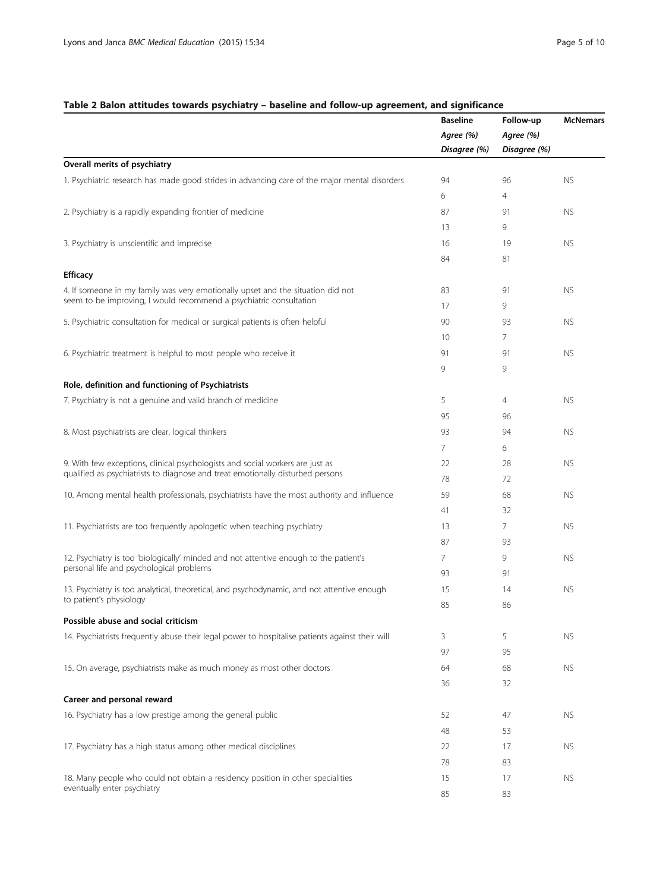## Baseline Follow-up McNemars Agree (%) Agree (%) Disagree (%) Disagree (%) Overall merits of psychiatry 1. Psychiatric research has made good strides in advancing care of the major mental disorders 94 96 NS 6 4 2. Psychiatry is a rapidly expanding frontier of medicine 87 87 91 NS 13 9 3. Psychiatry is unscientific and imprecise 16 19 NS 84 81 **Efficacy** 4. If someone in my family was very emotionally upset and the situation did not seem to be improving, I would recommend a psychiatric consultation 83 91 NS 17 9 5. Psychiatric consultation for medical or surgical patients is often helpful 90 93 NS 10 7 6. Psychiatric treatment is helpful to most people who receive it 91 91 NS 9 9 Role, definition and functioning of Psychiatrists 7. Psychiatry is not a genuine and valid branch of medicine and value of the state of the state of the SNS and  $\sim$  5 and  $\sim$  5 and  $\sim$  5 and  $\sim$  5 and  $\sim$  4 and  $\sim$  5 and  $\sim$  4 and  $\sim$  5 and  $\sim$  4 and  $\sim$  5 and 95 96 8. Most psychiatrists are clear, logical thinkers 8. Most provide that the control of the control of the control of the control of the control of the control of the control of the control of the control of the control of t 7 6 9. With few exceptions, clinical psychologists and social workers are just as qualified as psychiatrists to diagnose and treat emotionally disturbed persons 22 28 NS 78 72 10. Among mental health professionals, psychiatrists have the most authority and influence 59 68 NS 41 32 11. Psychiatrists are too frequently apologetic when teaching psychiatry 13 13 7 NS 87 93 12. Psychiatry is too 'biologically' minded and not attentive enough to the patient's personal life and psychological problems 7 9 NS 93 91 13. Psychiatry is too analytical, theoretical, and psychodynamic, and not attentive enough to patient's physiology 15 14 NS 85 86 Possible abuse and social criticism 14. Psychiatrists frequently abuse their legal power to hospitalise patients against their will 3 5 5 NS 97 95 15. On average, psychiatrists make as much money as most other doctors 64 68 68 NS 36 32 Career and personal reward 16. Psychiatry has a low prestige among the general public and the state of the state 52 52 47 NS 48 53 17. Psychiatry has a high status among other medical disciplines 22 17 NS 78 83 18. Many people who could not obtain a residency position in other specialities eventually enter psychiatry 15 17 NS 85 83

#### <span id="page-4-0"></span>Table 2 Balon attitudes towards psychiatry – baseline and follow-up agreement, and significance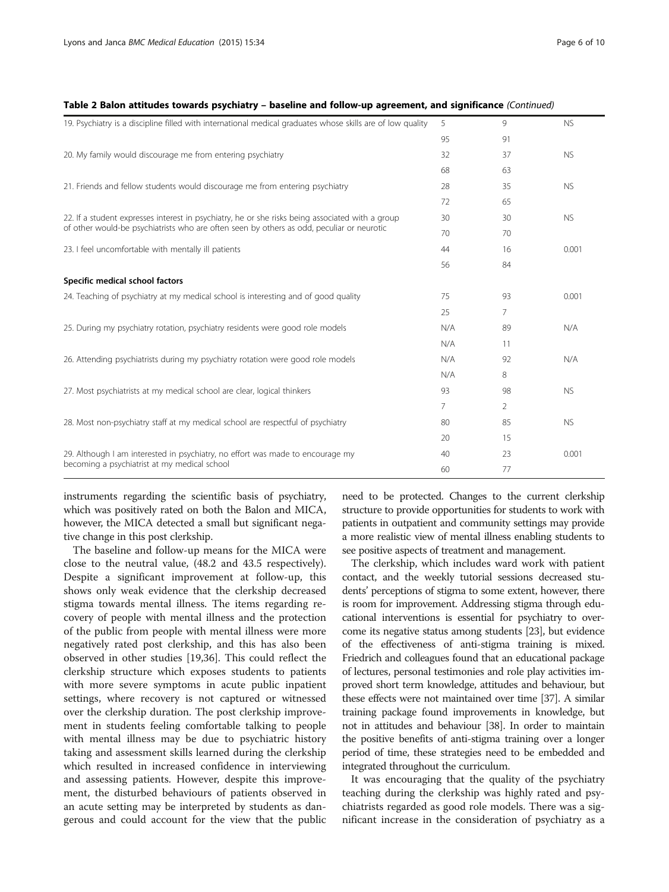| 19. Psychiatry is a discipline filled with international medical graduates whose skills are of low quality                                                                                    |     | 9              | <b>NS</b> |
|-----------------------------------------------------------------------------------------------------------------------------------------------------------------------------------------------|-----|----------------|-----------|
|                                                                                                                                                                                               |     | 91             |           |
| 20. My family would discourage me from entering psychiatry                                                                                                                                    |     | 37             | <b>NS</b> |
|                                                                                                                                                                                               |     | 63             |           |
| 21. Friends and fellow students would discourage me from entering psychiatry                                                                                                                  |     | 35             | <b>NS</b> |
|                                                                                                                                                                                               | 72  | 65             |           |
| 22. If a student expresses interest in psychiatry, he or she risks being associated with a group<br>of other would-be psychiatrists who are often seen by others as odd, peculiar or neurotic |     | 30             | <b>NS</b> |
|                                                                                                                                                                                               |     | 70             |           |
| 23. I feel uncomfortable with mentally ill patients                                                                                                                                           |     | 16             | 0.001     |
|                                                                                                                                                                                               | 56  | 84             |           |
| Specific medical school factors                                                                                                                                                               |     |                |           |
| 24. Teaching of psychiatry at my medical school is interesting and of good quality                                                                                                            | 75  | 93             | 0.001     |
|                                                                                                                                                                                               | 25  | 7              |           |
| 25. During my psychiatry rotation, psychiatry residents were good role models                                                                                                                 |     | 89             | N/A       |
|                                                                                                                                                                                               | N/A | 11             |           |
| 26. Attending psychiatrists during my psychiatry rotation were good role models                                                                                                               |     | 92             | N/A       |
|                                                                                                                                                                                               | N/A | 8              |           |
| 27. Most psychiatrists at my medical school are clear, logical thinkers                                                                                                                       |     | 98             | <b>NS</b> |
|                                                                                                                                                                                               | 7   | $\overline{2}$ |           |
| 28. Most non-psychiatry staff at my medical school are respectful of psychiatry                                                                                                               |     | 85             | <b>NS</b> |
|                                                                                                                                                                                               | 20  | 15             |           |
| 29. Although I am interested in psychiatry, no effort was made to encourage my                                                                                                                | 40  | 23             | 0.001     |
| becoming a psychiatrist at my medical school                                                                                                                                                  |     | 77             |           |

#### Table 2 Balon attitudes towards psychiatry – baseline and follow-up agreement, and significance (Continued)

instruments regarding the scientific basis of psychiatry, which was positively rated on both the Balon and MICA, however, the MICA detected a small but significant negative change in this post clerkship.

The baseline and follow-up means for the MICA were close to the neutral value, (48.2 and 43.5 respectively). Despite a significant improvement at follow-up, this shows only weak evidence that the clerkship decreased stigma towards mental illness. The items regarding recovery of people with mental illness and the protection of the public from people with mental illness were more negatively rated post clerkship, and this has also been observed in other studies [\[19,36](#page-8-0)]. This could reflect the clerkship structure which exposes students to patients with more severe symptoms in acute public inpatient settings, where recovery is not captured or witnessed over the clerkship duration. The post clerkship improvement in students feeling comfortable talking to people with mental illness may be due to psychiatric history taking and assessment skills learned during the clerkship which resulted in increased confidence in interviewing and assessing patients. However, despite this improvement, the disturbed behaviours of patients observed in an acute setting may be interpreted by students as dangerous and could account for the view that the public need to be protected. Changes to the current clerkship structure to provide opportunities for students to work with patients in outpatient and community settings may provide a more realistic view of mental illness enabling students to see positive aspects of treatment and management.

The clerkship, which includes ward work with patient contact, and the weekly tutorial sessions decreased students' perceptions of stigma to some extent, however, there is room for improvement. Addressing stigma through educational interventions is essential for psychiatry to overcome its negative status among students [\[23](#page-8-0)], but evidence of the effectiveness of anti-stigma training is mixed. Friedrich and colleagues found that an educational package of lectures, personal testimonies and role play activities improved short term knowledge, attitudes and behaviour, but these effects were not maintained over time [\[37\]](#page-8-0). A similar training package found improvements in knowledge, but not in attitudes and behaviour [[38\]](#page-8-0). In order to maintain the positive benefits of anti-stigma training over a longer period of time, these strategies need to be embedded and integrated throughout the curriculum.

It was encouraging that the quality of the psychiatry teaching during the clerkship was highly rated and psychiatrists regarded as good role models. There was a significant increase in the consideration of psychiatry as a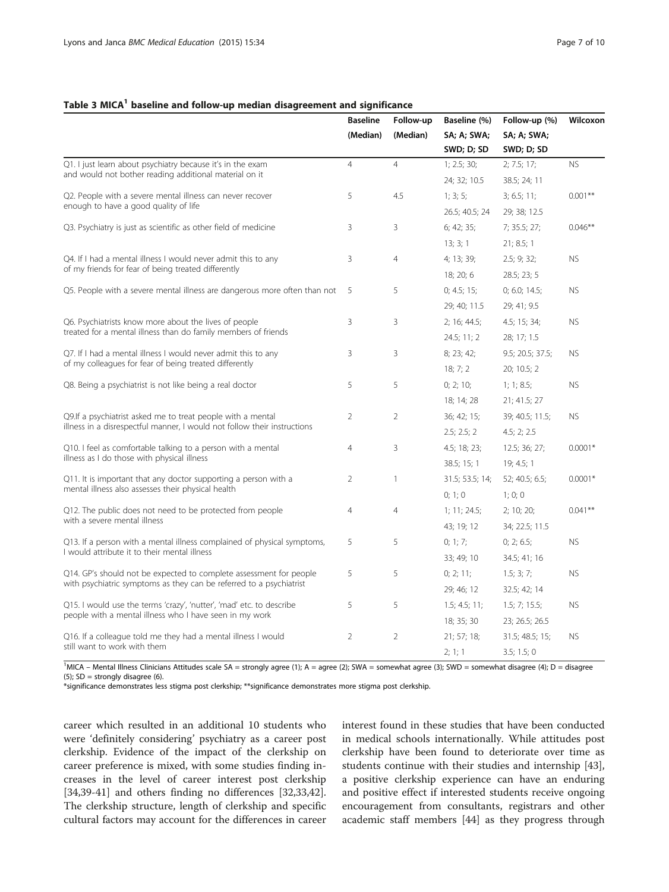### <span id="page-6-0"></span>Table 3 MICA<sup>1</sup> baseline and follow-up median disagreement and significance

|                                                                                                                                 | <b>Baseline</b> | Follow-up      | Baseline (%)    | Follow-up (%)    | Wilcoxon   |
|---------------------------------------------------------------------------------------------------------------------------------|-----------------|----------------|-----------------|------------------|------------|
|                                                                                                                                 | (Median)        | (Median)       | SA; A; SWA;     | SA; A; SWA;      |            |
|                                                                                                                                 |                 |                | SWD; D; SD      | SWD; D; SD       |            |
| Q1. I just learn about psychiatry because it's in the exam                                                                      | $\overline{4}$  | $\overline{4}$ | 1; 2.5; 30;     | 2; 7.5; 17;      | <b>NS</b>  |
| and would not bother reading additional material on it                                                                          |                 |                | 24; 32; 10.5    | 38.5; 24; 11     |            |
| Q2. People with a severe mental illness can never recover                                                                       |                 | 4.5            | 1; 3; 5;        | 3; 6.5; 11;      | $0.001***$ |
| enough to have a good quality of life                                                                                           |                 |                | 26.5; 40.5; 24  | 29; 38; 12.5     |            |
| Q3. Psychiatry is just as scientific as other field of medicine                                                                 | 3               | 3              | 6; 42; 35;      | 7; 35.5; 27;     | $0.046***$ |
|                                                                                                                                 |                 |                | 13; 3; 1        | 21; 8.5; 1       |            |
| Q4. If I had a mental illness I would never admit this to any                                                                   | 3               | $\overline{4}$ | 4; 13; 39;      | 2.5; 9; 32;      | <b>NS</b>  |
| of my friends for fear of being treated differently                                                                             |                 |                | 18; 20; 6       | 28.5; 23; 5      |            |
| Q5. People with a severe mental illness are dangerous more often than not                                                       | -5              | 5              | 0; 4.5; 15;     | 0; 6.0; 14.5;    | <b>NS</b>  |
|                                                                                                                                 |                 |                | 29; 40; 11.5    | 29; 41; 9.5      |            |
| Q6. Psychiatrists know more about the lives of people                                                                           | 3               | 3              | 2; 16; 44.5;    | 4.5; 15; 34;     | <b>NS</b>  |
| treated for a mental illness than do family members of friends                                                                  |                 |                | 24.5; 11; 2     | 28; 17; 1.5      |            |
| Q7. If I had a mental illness I would never admit this to any                                                                   | 3               | 3              | 8; 23; 42;      | 9.5; 20.5; 37.5; | <b>NS</b>  |
| of my colleagues for fear of being treated differently                                                                          |                 |                | 18; 7; 2        | 20; 10.5; 2      |            |
| Q8. Being a psychiatrist is not like being a real doctor                                                                        | 5               | 5              | 0; 2; 10;       | 1; 1; 8.5;       | <b>NS</b>  |
|                                                                                                                                 |                 |                | 18; 14; 28      | 21; 41.5; 27     |            |
| Q9.If a psychiatrist asked me to treat people with a mental                                                                     | $\overline{2}$  | $\overline{2}$ | 36; 42; 15;     | 39; 40.5; 11.5;  | <b>NS</b>  |
| illness in a disrespectful manner, I would not follow their instructions                                                        |                 |                | 2.5; 2.5; 2     | 4.5; 2; 2.5      |            |
| Q10. I feel as comfortable talking to a person with a mental                                                                    |                 | 3              | 4.5; 18; 23;    | 12.5; 36; 27;    | $0.0001*$  |
| illness as I do those with physical illness                                                                                     |                 |                | 38.5; 15; 1     | 19; 4.5; 1       |            |
| Q11. It is important that any doctor supporting a person with a                                                                 | $\overline{2}$  | 1              | 31.5; 53.5; 14; | 52; 40.5; 6.5;   | $0.0001*$  |
| mental illness also assesses their physical health                                                                              |                 |                | 0; 1; 0         | 1; 0; 0          |            |
| Q12. The public does not need to be protected from people                                                                       | $\overline{4}$  | $\overline{4}$ | 1; 11; 24.5;    | 2; 10; 20;       | $0.041***$ |
| with a severe mental illness                                                                                                    |                 |                | 43; 19; 12      | 34; 22.5; 11.5   |            |
| Q13. If a person with a mental illness complained of physical symptoms,                                                         | 5               | 5              | 0; 1; 7;        | 0; 2; 6.5;       | <b>NS</b>  |
| I would attribute it to their mental illness                                                                                    |                 |                | 33; 49; 10      | 34.5; 41; 16     |            |
| Q14. GP's should not be expected to complete assessment for people                                                              | 5               | 5              | 0; 2; 11;       | 1.5; 3; 7;       | <b>NS</b>  |
| with psychiatric symptoms as they can be referred to a psychiatrist                                                             |                 |                | 29; 46; 12      | 32.5; 42; 14     |            |
| Q15. I would use the terms 'crazy', 'nutter', 'mad' etc. to describe<br>people with a mental illness who I have seen in my work |                 | 5              | 1.5; 4.5; 11;   | 1.5; 7; 15.5;    | <b>NS</b>  |
|                                                                                                                                 |                 |                | 18; 35; 30      | 23; 26.5; 26.5   |            |
| Q16. If a colleague told me they had a mental illness I would                                                                   | $\overline{2}$  | $\overline{2}$ | 21; 57; 18;     | 31.5; 48.5; 15;  | <b>NS</b>  |
| still want to work with them                                                                                                    |                 |                | 2; 1; 1         | 3.5; 1.5; 0      |            |

<sup>1</sup> MICA – Mental Illness Clinicians Attitudes scale SA = strongly agree (1); A = agree (2); SWA = somewhat agree (3); SWD = somewhat disagree (4); D = disagree (5);  $SD =$  strongly disagree (6).

\*significance demonstrates less stigma post clerkship; \*\*significance demonstrates more stigma post clerkship.

career which resulted in an additional 10 students who were 'definitely considering' psychiatry as a career post clerkship. Evidence of the impact of the clerkship on career preference is mixed, with some studies finding increases in the level of career interest post clerkship [[34,39-41\]](#page-8-0) and others finding no differences [\[32,33,42](#page-8-0)]. The clerkship structure, length of clerkship and specific cultural factors may account for the differences in career interest found in these studies that have been conducted in medical schools internationally. While attitudes post clerkship have been found to deteriorate over time as students continue with their studies and internship [\[43](#page-8-0)], a positive clerkship experience can have an enduring and positive effect if interested students receive ongoing encouragement from consultants, registrars and other academic staff members [[44](#page-8-0)] as they progress through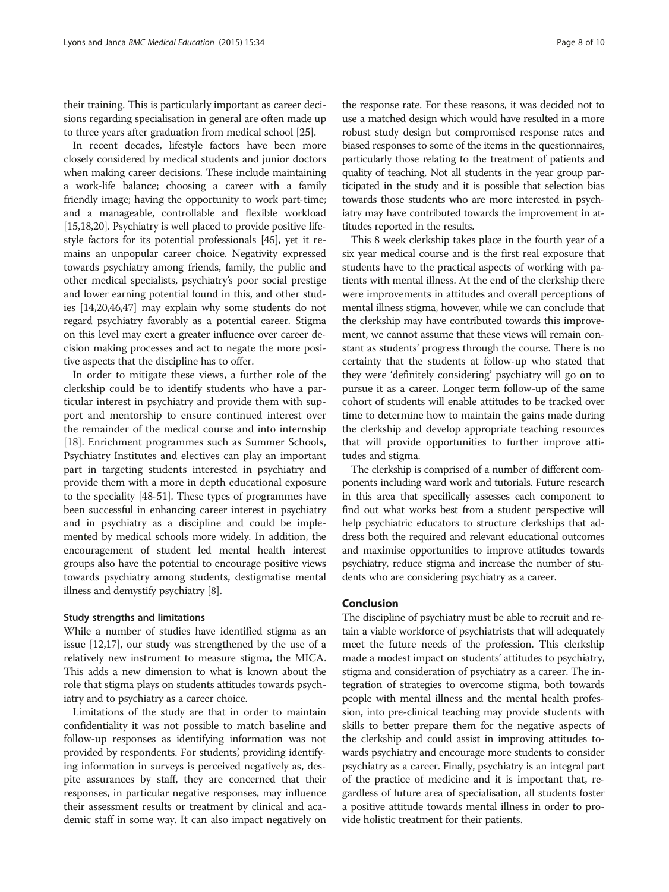their training. This is particularly important as career decisions regarding specialisation in general are often made up to three years after graduation from medical school [[25](#page-8-0)].

In recent decades, lifestyle factors have been more closely considered by medical students and junior doctors when making career decisions. These include maintaining a work-life balance; choosing a career with a family friendly image; having the opportunity to work part-time; and a manageable, controllable and flexible workload [[15,18,20\]](#page-8-0). Psychiatry is well placed to provide positive lifestyle factors for its potential professionals [\[45\]](#page-9-0), yet it remains an unpopular career choice. Negativity expressed towards psychiatry among friends, family, the public and other medical specialists, psychiatry's poor social prestige and lower earning potential found in this, and other studies [\[14,20,](#page-8-0)[46,47\]](#page-9-0) may explain why some students do not regard psychiatry favorably as a potential career. Stigma on this level may exert a greater influence over career decision making processes and act to negate the more positive aspects that the discipline has to offer.

In order to mitigate these views, a further role of the clerkship could be to identify students who have a particular interest in psychiatry and provide them with support and mentorship to ensure continued interest over the remainder of the medical course and into internship [[18\]](#page-8-0). Enrichment programmes such as Summer Schools, Psychiatry Institutes and electives can play an important part in targeting students interested in psychiatry and provide them with a more in depth educational exposure to the speciality [\[48-51](#page-9-0)]. These types of programmes have been successful in enhancing career interest in psychiatry and in psychiatry as a discipline and could be implemented by medical schools more widely. In addition, the encouragement of student led mental health interest groups also have the potential to encourage positive views towards psychiatry among students, destigmatise mental illness and demystify psychiatry [[8\]](#page-8-0).

#### Study strengths and limitations

While a number of studies have identified stigma as an issue [[12,17\]](#page-8-0), our study was strengthened by the use of a relatively new instrument to measure stigma, the MICA. This adds a new dimension to what is known about the role that stigma plays on students attitudes towards psychiatry and to psychiatry as a career choice.

Limitations of the study are that in order to maintain confidentiality it was not possible to match baseline and follow-up responses as identifying information was not provided by respondents. For students', providing identifying information in surveys is perceived negatively as, despite assurances by staff, they are concerned that their responses, in particular negative responses, may influence their assessment results or treatment by clinical and academic staff in some way. It can also impact negatively on

the response rate. For these reasons, it was decided not to use a matched design which would have resulted in a more robust study design but compromised response rates and biased responses to some of the items in the questionnaires, particularly those relating to the treatment of patients and quality of teaching. Not all students in the year group participated in the study and it is possible that selection bias towards those students who are more interested in psychiatry may have contributed towards the improvement in attitudes reported in the results.

This 8 week clerkship takes place in the fourth year of a six year medical course and is the first real exposure that students have to the practical aspects of working with patients with mental illness. At the end of the clerkship there were improvements in attitudes and overall perceptions of mental illness stigma, however, while we can conclude that the clerkship may have contributed towards this improvement, we cannot assume that these views will remain constant as students' progress through the course. There is no certainty that the students at follow-up who stated that they were 'definitely considering' psychiatry will go on to pursue it as a career. Longer term follow-up of the same cohort of students will enable attitudes to be tracked over time to determine how to maintain the gains made during the clerkship and develop appropriate teaching resources that will provide opportunities to further improve attitudes and stigma.

The clerkship is comprised of a number of different components including ward work and tutorials. Future research in this area that specifically assesses each component to find out what works best from a student perspective will help psychiatric educators to structure clerkships that address both the required and relevant educational outcomes and maximise opportunities to improve attitudes towards psychiatry, reduce stigma and increase the number of students who are considering psychiatry as a career.

#### Conclusion

The discipline of psychiatry must be able to recruit and retain a viable workforce of psychiatrists that will adequately meet the future needs of the profession. This clerkship made a modest impact on students' attitudes to psychiatry, stigma and consideration of psychiatry as a career. The integration of strategies to overcome stigma, both towards people with mental illness and the mental health profession, into pre-clinical teaching may provide students with skills to better prepare them for the negative aspects of the clerkship and could assist in improving attitudes towards psychiatry and encourage more students to consider psychiatry as a career. Finally, psychiatry is an integral part of the practice of medicine and it is important that, regardless of future area of specialisation, all students foster a positive attitude towards mental illness in order to provide holistic treatment for their patients.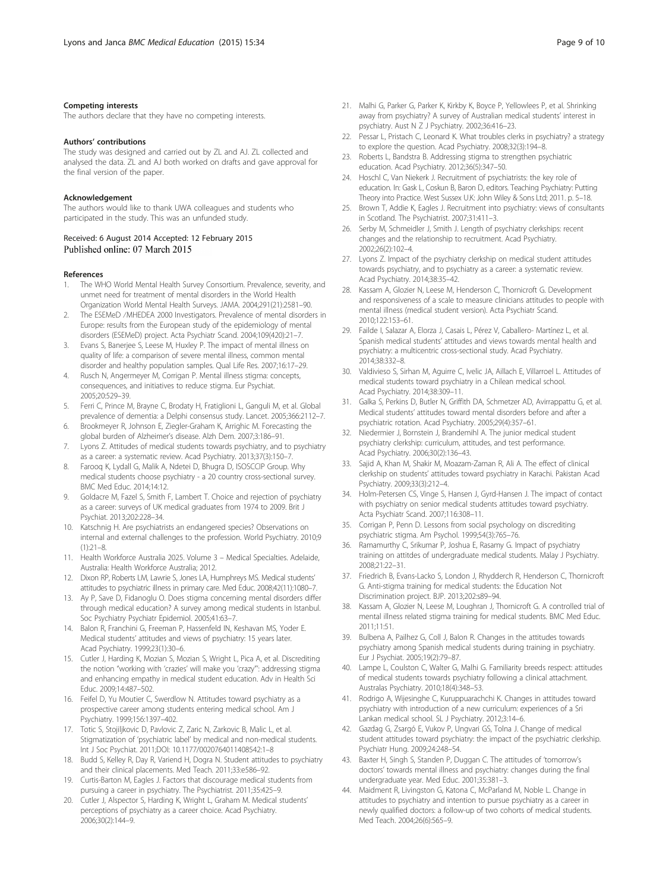#### <span id="page-8-0"></span>Competing interests

The authors declare that they have no competing interests.

#### Authors' contributions

The study was designed and carried out by ZL and AJ. ZL collected and analysed the data. ZL and AJ both worked on drafts and gave approval for the final version of the paper.

#### Acknowledgement

The authors would like to thank UWA colleagues and students who participated in the study. This was an unfunded study.

#### Received: 6 August 2014 Accepted: 12 February 2015 Published online: 07 March 2015

#### References

- The WHO World Mental Health Survey Consortium. Prevalence, severity, and unmet need for treatment of mental disorders in the World Health Organization World Mental Health Surveys. JAMA. 2004;291(21):2581–90.
- 2. The ESEMeD /MHEDEA 2000 Investigators. Prevalence of mental disorders in Europe: results from the European study of the epidemiology of mental disorders (ESEMeD) project. Acta Psychiatr Scand. 2004;109(420):21–7.
- 3. Evans S, Banerjee S, Leese M, Huxley P. The impact of mental illness on quality of life: a comparison of severe mental illness, common mental disorder and healthy population samples. Qual Life Res. 2007;16:17–29.
- 4. Rusch N, Angermeyer M, Corrigan P. Mental illness stigma: concepts, consequences, and initiatives to reduce stigma. Eur Psychiat. 2005;20:529–39.
- 5. Ferri C, Prince M, Brayne C, Brodaty H, Fratiglioni L, Ganguli M, et al. Global prevalence of dementia: a Delphi consensus study. Lancet. 2005;366:2112–7.
- 6. Brookmeyer R, Johnson E, Ziegler-Graham K, Arrighic M. Forecasting the global burden of Alzheimer's disease. Alzh Dem. 2007;3:186–91.
- 7. Lyons Z. Attitudes of medical students towards psychiatry, and to psychiatry as a career: a systematic review. Acad Psychiatry. 2013;37(3):150–7.
- 8. Farooq K, Lydall G, Malik A, Ndetei D, Bhugra D, ISOSCCIP Group. Why medical students choose psychiatry - a 20 country cross-sectional survey. BMC Med Educ. 2014;14:12.
- 9. Goldacre M, Fazel S, Smith F, Lambert T. Choice and rejection of psychiatry as a career: surveys of UK medical graduates from 1974 to 2009. Brit J Psychiat. 2013;202:228–34.
- 10. Katschnig H. Are psychiatrists an endangered species? Observations on internal and external challenges to the profession. World Psychiatry. 2010;9 (1):21–8.
- 11. Health Workforce Australia 2025. Volume 3 Medical Specialties. Adelaide, Australia: Health Workforce Australia; 2012.
- 12. Dixon RP, Roberts LM, Lawrie S, Jones LA, Humphreys MS. Medical students' attitudes to psychiatric illness in primary care. Med Educ. 2008;42(11):1080–7.
- 13. Ay P, Save D, Fidanoglu O. Does stigma concerning mental disorders differ through medical education? A survey among medical students in Istanbul. Soc Psychiatry Psychiatr Epidemiol. 2005;41:63–7.
- 14. Balon R, Franchini G, Freeman P, Hassenfeld IN, Keshavan MS, Yoder E. Medical students' attitudes and views of psychiatry: 15 years later. Acad Psychiatry. 1999;23(1):30–6.
- 15. Cutler J, Harding K, Mozian S, Mozian S, Wright L, Pica A, et al. Discrediting the notion "working with 'crazies' will make you 'crazy"': addressing stigma and enhancing empathy in medical student education. Adv in Health Sci Educ. 2009;14:487–502.
- 16. Feifel D, Yu Moutier C, Swerdlow N. Attitudes toward psychiatry as a prospective career among students entering medical school. Am J Psychiatry. 1999;156:1397–402.
- 17. Totic S, Stojiljkovic D, Pavlovic Z, Zaric N, Zarkovic B, Malic L, et al. Stigmatization of 'psychiatric label' by medical and non-medical students. Int J Soc Psychiat. 2011;DOI: 10.1177/0020764011408542:1–8
- 18. Budd S, Kelley R, Day R, Variend H, Dogra N. Student attitudes to psychiatry and their clinical placements. Med Teach. 2011;33:e586–92.
- 19. Curtis-Barton M, Eagles J. Factors that discourage medical students from pursuing a career in psychiatry. The Psychiatrist. 2011;35:425–9.
- 20. Cutler J, Alspector S, Harding K, Wright L, Graham M. Medical students' perceptions of psychiatry as a career choice. Acad Psychiatry. 2006;30(2):144–9.
- 21. Malhi G, Parker G, Parker K, Kirkby K, Boyce P, Yellowlees P, et al. Shrinking away from psychiatry? A survey of Australian medical students' interest in psychiatry. Aust N Z J Psychiatry. 2002;36:416–23.
- 22. Pessar L, Pristach C, Leonard K, What troubles clerks in psychiatry? a strategy to explore the question. Acad Psychiatry. 2008;32(3):194–8.
- 23. Roberts L, Bandstra B. Addressing stigma to strengthen psychiatric education. Acad Psychiatry. 2012;36(5):347–50.
- 24. Hoschl C, Van Niekerk J. Recruitment of psychiatrists: the key role of education. In: Gask L, Coskun B, Baron D, editors. Teaching Psychiatry: Putting Theory into Practice. West Sussex U.K: John Wiley & Sons Ltd; 2011. p. 5–18.
- 25. Brown T, Addie K, Eagles J. Recruitment into psychiatry: views of consultants in Scotland. The Psychiatrist. 2007;31:411–3.
- 26. Serby M, Schmeidler J, Smith J. Length of psychiatry clerkships: recent changes and the relationship to recruitment. Acad Psychiatry. 2002;26(2):102–4.
- 27. Lyons Z. Impact of the psychiatry clerkship on medical student attitudes towards psychiatry, and to psychiatry as a career: a systematic review. Acad Psychiatry. 2014;38:35–42.
- 28. Kassam A, Glozier N, Leese M, Henderson C, Thornicroft G. Development and responsiveness of a scale to measure clinicians attitudes to people with mental illness (medical student version). Acta Psychiatr Scand. 2010;122:153–61.
- 29. Failde I, Salazar A, Elorza J, Casais L, Pérez V, Caballero- Martínez L, et al. Spanish medical students' attitudes and views towards mental health and psychiatry: a multicentric cross-sectional study. Acad Psychiatry. 2014;38:332–8.
- 30. Valdivieso S, Sirhan M, Aguirre C, Ivelic JA, Aillach E, Villarroel L. Attitudes of medical students toward psychiatry in a Chilean medical school. Acad Psychiatry. 2014;38:309–11.
- 31. Galka S, Perkins D, Butler N, Griffith DA, Schmetzer AD, Avirrappattu G, et al. Medical students' attitudes toward mental disorders before and after a psychiatric rotation. Acad Psychiatry. 2005;29(4):357–61.
- 32. Niedermier J, Bornstein J, Brandemihl A. The junior medical student psychiatry clerkship: curriculum, attitudes, and test performance. Acad Psychiatry. 2006;30(2):136–43.
- 33. Sajid A, Khan M, Shakir M, Moazam-Zaman R, Ali A. The effect of clinical clerkship on students' attitudes toward psychiatry in Karachi. Pakistan Acad Psychiatry. 2009;33(3):212–4.
- 34. Holm-Petersen CS, Vinge S, Hansen J, Gyrd-Hansen J. The impact of contact with psychiatry on senior medical students attitudes toward psychiatry. Acta Psychiatr Scand. 2007;116:308–11.
- 35. Corrigan P, Penn D. Lessons from social psychology on discrediting psychiatric stigma. Am Psychol. 1999;54(3):765–76.
- 36. Ramamurthy C, Srikumar P, Joshua E, Rasamy G. Impact of psychiatry training on attitdes of undergraduate medical students. Malay J Psychiatry. 2008;21:22–31.
- 37. Friedrich B, Evans-Lacko S, London J, Rhydderch R, Henderson C, Thornicroft G. Anti-stigma training for medical students: the Education Not Discrimination project. BJP. 2013;202:s89–94.
- Kassam A, Glozier N, Leese M, Loughran J, Thornicroft G. A controlled trial of mental illness related stigma training for medical students. BMC Med Educ. 2011;11:51.
- 39. Bulbena A, Pailhez G, Coll J, Balon R. Changes in the attitudes towards psychiatry among Spanish medical students during training in psychiatry. Eur J Psychiat. 2005;19(2):79–87.
- 40. Lampe L, Coulston C, Walter G, Malhi G. Familiarity breeds respect: attitudes of medical students towards psychiatry following a clinical attachment. Australas Psychiatry. 2010;18(4):348–53.
- 41. Rodrigo A, Wijesinghe C, Kuruppuarachchi K. Changes in attitudes toward psychiatry with introduction of a new curriculum: experiences of a Sri Lankan medical school. SL J Psychiatry. 2012;3:14–6.
- 42. Gazdag G, Zsargó E, Vukov P, Ungvari GS, Tolna J. Change of medical student attitudes toward psychiatry: the impact of the psychiatric clerkship. Psychiatr Hung. 2009;24:248–54.
- 43. Baxter H, Singh S, Standen P, Duggan C. The attitudes of 'tomorrow's doctors' towards mental illness and psychiatry: changes during the final undergraduate year. Med Educ. 2001;35:381–3.
- 44. Maidment R, Livingston G, Katona C, McParland M, Noble L. Change in attitudes to psychiatry and intention to pursue psychiatry as a career in newly qualified doctors: a follow-up of two cohorts of medical students. Med Teach. 2004;26(6):565–9.